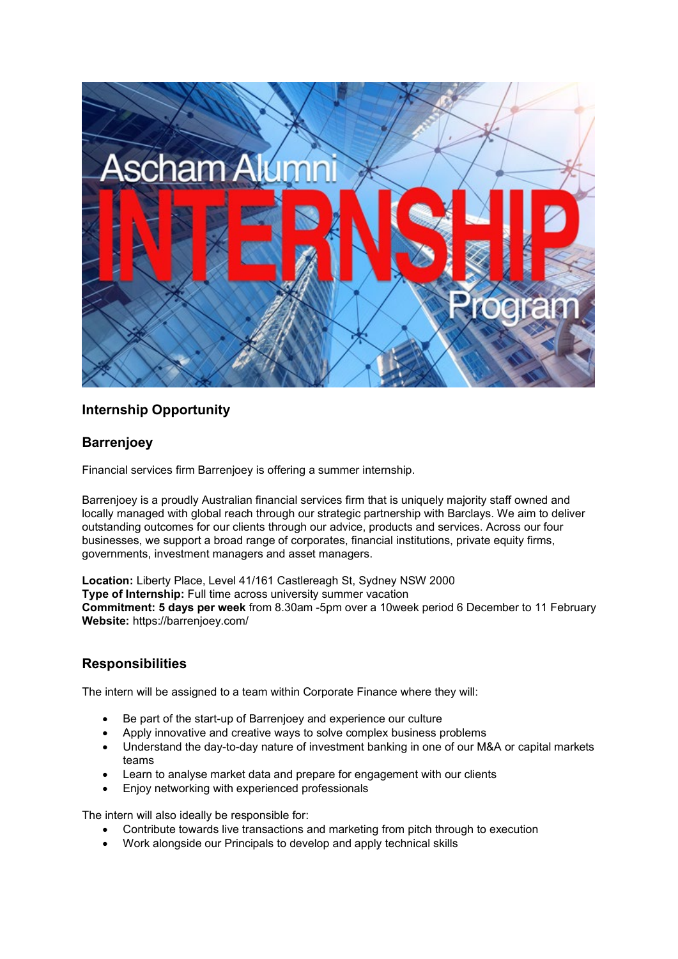

# **Internship Opportunity**

### **Barrenjoey**

Financial services firm Barrenjoey is offering a summer internship.

Barrenjoey is a proudly Australian financial services firm that is uniquely majority staff owned and locally managed with global reach through our strategic partnership with Barclays. We aim to deliver outstanding outcomes for our clients through our advice, products and services. Across our four businesses, we support a broad range of corporates, financial institutions, private equity firms, governments, investment managers and asset managers.

**Location:** Liberty Place, Level 41/161 Castlereagh St, Sydney NSW 2000 **Type of Internship:** Full time across university summer vacation **Commitment: 5 days per week** from 8.30am -5pm over a 10week period 6 December to 11 February **Website:** https://barrenjoey.com/

# **Responsibilities**

The intern will be assigned to a team within Corporate Finance where they will:

- Be part of the start-up of Barrenjoey and experience our culture
- Apply innovative and creative ways to solve complex business problems
- Understand the day-to-day nature of investment banking in one of our M&A or capital markets teams
- Learn to analyse market data and prepare for engagement with our clients
- Enjoy networking with experienced professionals

The intern will also ideally be responsible for:

- Contribute towards live transactions and marketing from pitch through to execution
- Work alongside our Principals to develop and apply technical skills